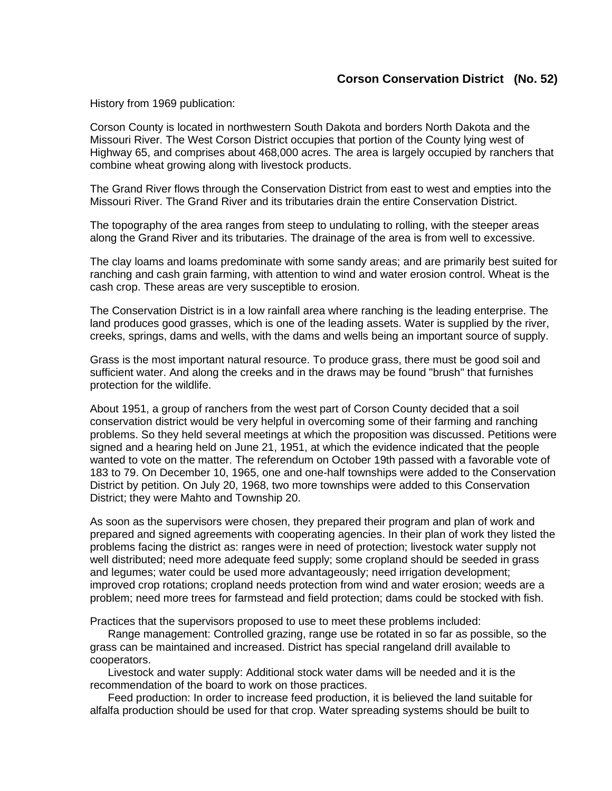## **Corson Conservation District (No. 52)**

History from 1969 publication:

Corson County is located in northwestern South Dakota and borders North Dakota and the Missouri River. The West Corson District occupies that portion of the County lying west of Highway 65, and comprises about 468,000 acres. The area is largely occupied by ranchers that combine wheat growing along with livestock products.

The Grand River flows through the Conservation District from east to west and empties into the Missouri River. The Grand River and its tributaries drain the entire Conservation District.

The topography of the area ranges from steep to undulating to rolling, with the steeper areas along the Grand River and its tributaries. The drainage of the area is from well to excessive.

The clay loams and loams predominate with some sandy areas; and are primarily best suited for ranching and cash grain farming, with attention to wind and water erosion control. Wheat is the cash crop. These areas are very susceptible to erosion.

The Conservation District is in a low rainfall area where ranching is the leading enterprise. The land produces good grasses, which is one of the leading assets. Water is supplied by the river, creeks, springs, dams and wells, with the dams and wells being an important source of supply.

Grass is the most important natural resource. To produce grass, there must be good soil and sufficient water. And along the creeks and in the draws may be found "brush" that furnishes protection for the wildlife.

About 1951, a group of ranchers from the west part of Corson County decided that a soil conservation district would be very helpful in overcoming some of their farming and ranching problems. So they held several meetings at which the proposition was discussed. Petitions were signed and a hearing held on June 21, 1951, at which the evidence indicated that the people wanted to vote on the matter. The referendum on October 19th passed with a favorable vote of 183 to 79. On December 10, 1965, one and one-half townships were added to the Conservation District by petition. On July 20, 1968, two more townships were added to this Conservation District; they were Mahto and Township 20.

As soon as the supervisors were chosen, they prepared their program and plan of work and prepared and signed agreements with cooperating agencies. In their plan of work they listed the problems facing the district as: ranges were in need of protection; livestock water supply not well distributed; need more adequate feed supply; some cropland should be seeded in grass and legumes; water could be used more advantageously; need irrigation development; improved crop rotations; cropland needs protection from wind and water erosion; weeds are a problem; need more trees for farmstead and field protection; dams could be stocked with fish.

Practices that the supervisors proposed to use to meet these problems included:

Range management: Controlled grazing, range use be rotated in so far as possible, so the grass can be maintained and increased. District has special rangeland drill available to cooperators.

Livestock and water supply: Additional stock water dams will be needed and it is the recommendation of the board to work on those practices.

Feed production: In order to increase feed production, it is believed the land suitable for alfalfa production should be used for that crop. Water spreading systems should be built to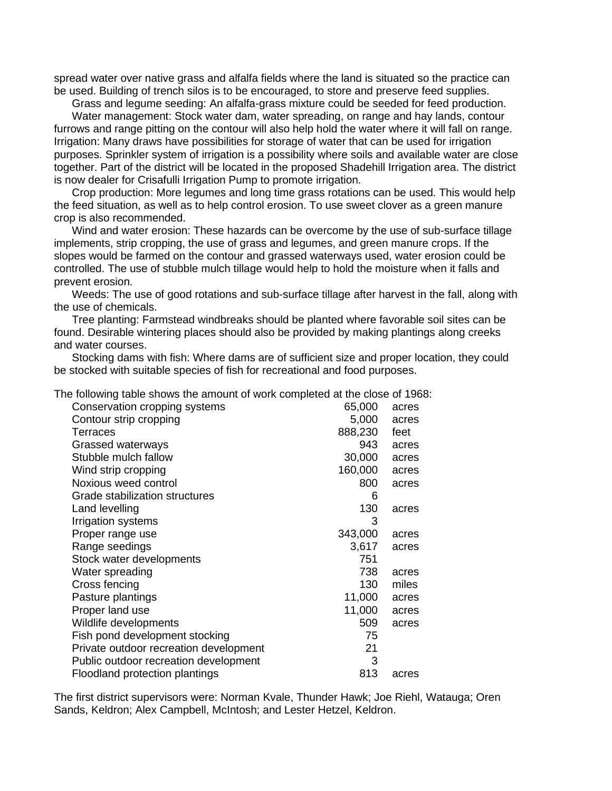spread water over native grass and alfalfa fields where the land is situated so the practice can be used. Building of trench silos is to be encouraged, to store and preserve feed supplies.

Grass and legume seeding: An alfalfa-grass mixture could be seeded for feed production.

Water management: Stock water dam, water spreading, on range and hay lands, contour furrows and range pitting on the contour will also help hold the water where it will fall on range. Irrigation: Many draws have possibilities for storage of water that can be used for irrigation purposes. Sprinkler system of irrigation is a possibility where soils and available water are close together. Part of the district will be located in the proposed Shadehill Irrigation area. The district is now dealer for Crisafulli Irrigation Pump to promote irrigation.

Crop production: More legumes and long time grass rotations can be used. This would help the feed situation, as well as to help control erosion. To use sweet clover as a green manure crop is also recommended.

Wind and water erosion: These hazards can be overcome by the use of sub-surface tillage implements, strip cropping, the use of grass and legumes, and green manure crops. If the slopes would be farmed on the contour and grassed waterways used, water erosion could be controlled. The use of stubble mulch tillage would help to hold the moisture when it falls and prevent erosion.

Weeds: The use of good rotations and sub-surface tillage after harvest in the fall, along with the use of chemicals.

Tree planting: Farmstead windbreaks should be planted where favorable soil sites can be found. Desirable wintering places should also be provided by making plantings along creeks and water courses.

Stocking dams with fish: Where dams are of sufficient size and proper location, they could be stocked with suitable species of fish for recreational and food purposes.

The following table shows the amount of work completed at the close of 1968:

| Conservation cropping systems          | 65,000  | acres |
|----------------------------------------|---------|-------|
| Contour strip cropping                 | 5,000   | acres |
| <b>Terraces</b>                        | 888,230 | feet  |
| Grassed waterways                      | 943     | acres |
| Stubble mulch fallow                   | 30,000  | acres |
| Wind strip cropping                    | 160,000 | acres |
| Noxious weed control                   | 800     | acres |
| Grade stabilization structures         | 6       |       |
| Land levelling                         | 130     | acres |
| Irrigation systems                     | 3       |       |
| Proper range use                       | 343,000 | acres |
| Range seedings                         | 3,617   | acres |
| Stock water developments               | 751     |       |
| Water spreading                        | 738     | acres |
| Cross fencing                          | 130     | miles |
| Pasture plantings                      | 11,000  | acres |
| Proper land use                        | 11,000  | acres |
| Wildlife developments                  | 509     | acres |
| Fish pond development stocking         | 75      |       |
| Private outdoor recreation development | 21      |       |
| Public outdoor recreation development  | 3       |       |
| Floodland protection plantings         | 813     | acres |

The first district supervisors were: Norman Kvale, Thunder Hawk; Joe Riehl, Watauga; Oren Sands, Keldron; Alex Campbell, McIntosh; and Lester Hetzel, Keldron.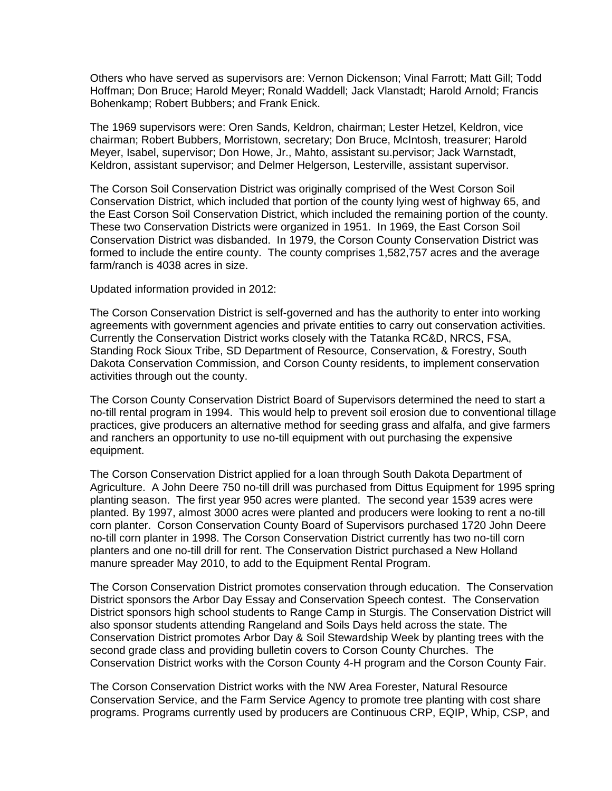Others who have served as supervisors are: Vernon Dickenson; Vinal Farrott; Matt Gill; Todd Hoffman; Don Bruce; Harold Meyer; Ronald Waddell; Jack Vlanstadt; Harold Arnold; Francis Bohenkamp; Robert Bubbers; and Frank Enick.

The 1969 supervisors were: Oren Sands, Keldron, chairman; Lester Hetzel, Keldron, vice chairman; Robert Bubbers, Morristown, secretary; Don Bruce, McIntosh, treasurer; Harold Meyer, Isabel, supervisor; Don Howe, Jr., Mahto, assistant su.pervisor; Jack Warnstadt, Keldron, assistant supervisor; and Delmer Helgerson, Lesterville, assistant supervisor.

The Corson Soil Conservation District was originally comprised of the West Corson Soil Conservation District, which included that portion of the county lying west of highway 65, and the East Corson Soil Conservation District, which included the remaining portion of the county. These two Conservation Districts were organized in 1951. In 1969, the East Corson Soil Conservation District was disbanded. In 1979, the Corson County Conservation District was formed to include the entire county. The county comprises 1,582,757 acres and the average farm/ranch is 4038 acres in size.

Updated information provided in 2012:

The Corson Conservation District is self-governed and has the authority to enter into working agreements with government agencies and private entities to carry out conservation activities. Currently the Conservation District works closely with the Tatanka RC&D, NRCS, FSA, Standing Rock Sioux Tribe, SD Department of Resource, Conservation, & Forestry, South Dakota Conservation Commission, and Corson County residents, to implement conservation activities through out the county.

The Corson County Conservation District Board of Supervisors determined the need to start a no-till rental program in 1994. This would help to prevent soil erosion due to conventional tillage practices, give producers an alternative method for seeding grass and alfalfa, and give farmers and ranchers an opportunity to use no-till equipment with out purchasing the expensive equipment.

The Corson Conservation District applied for a loan through South Dakota Department of Agriculture. A John Deere 750 no-till drill was purchased from Dittus Equipment for 1995 spring planting season. The first year 950 acres were planted. The second year 1539 acres were planted. By 1997, almost 3000 acres were planted and producers were looking to rent a no-till corn planter. Corson Conservation County Board of Supervisors purchased 1720 John Deere no-till corn planter in 1998. The Corson Conservation District currently has two no-till corn planters and one no-till drill for rent. The Conservation District purchased a New Holland manure spreader May 2010, to add to the Equipment Rental Program.

The Corson Conservation District promotes conservation through education. The Conservation District sponsors the Arbor Day Essay and Conservation Speech contest. The Conservation District sponsors high school students to Range Camp in Sturgis. The Conservation District will also sponsor students attending Rangeland and Soils Days held across the state. The Conservation District promotes Arbor Day & Soil Stewardship Week by planting trees with the second grade class and providing bulletin covers to Corson County Churches. The Conservation District works with the Corson County 4-H program and the Corson County Fair.

The Corson Conservation District works with the NW Area Forester, Natural Resource Conservation Service, and the Farm Service Agency to promote tree planting with cost share programs. Programs currently used by producers are Continuous CRP, EQIP, Whip, CSP, and